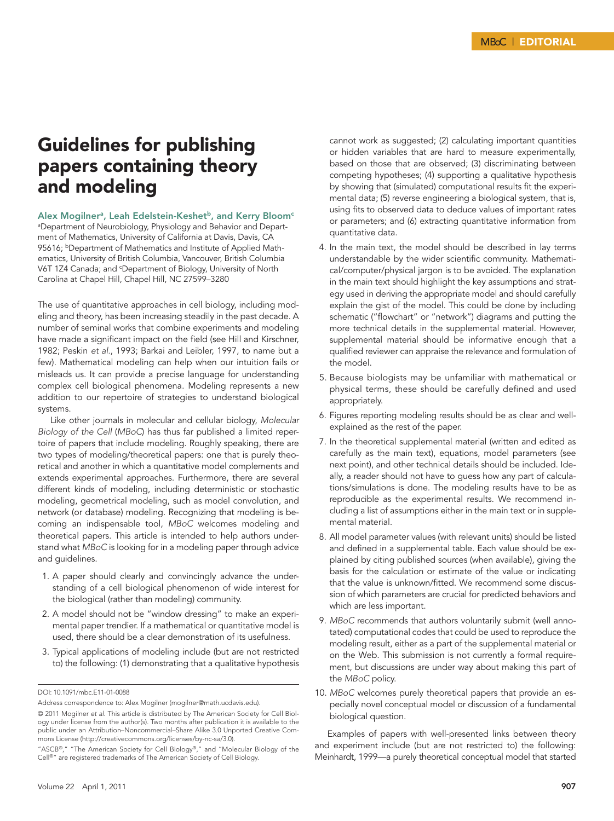## Guidelines for publishing papers containing theory and modeling

## Alex Mogilner<sup>a</sup>, Leah Edelstein-Keshet<sup>b</sup>, and Kerry Bloom<sup>c</sup>

aDepartment of Neurobiology, Physiology and Behavior and Department of Mathematics, University of California at Davis, Davis, CA 95616; **bDepartment of Mathematics and Institute of Applied Math**ematics, University of British Columbia, Vancouver, British Columbia V6T 1Z4 Canada; and <sup>c</sup>Department of Biology, University of North Carolina at Chapel Hill, Chapel Hill, NC 27599–3280

The use of quantitative approaches in cell biology, including modeling and theory, has been increasing steadily in the past decade. A number of seminal works that combine experiments and modeling have made a significant impact on the field (see Hill and Kirschner, 1982; Peskin *et al.*, 1993; Barkai and Leibler, 1997, to name but a few). Mathematical modeling can help when our intuition fails or misleads us. It can provide a precise language for understanding complex cell biological phenomena. Modeling represents a new addition to our repertoire of strategies to understand biological systems.

Like other journals in molecular and cellular biology, *Molecular Biology of the Cell* (*MBoC*) has thus far published a limited repertoire of papers that include modeling. Roughly speaking, there are two types of modeling/theoretical papers: one that is purely theoretical and another in which a quantitative model complements and extends experimental approaches. Furthermore, there are several different kinds of modeling, including deterministic or stochastic modeling, geometrical modeling, such as model convolution, and network (or database) modeling. Recognizing that modeling is becoming an indispensable tool, *MBoC* welcomes modeling and theoretical papers. This article is intended to help authors understand what *MBoC* is looking for in a modeling paper through advice and guidelines.

- 1. A paper should clearly and convincingly advance the understanding of a cell biological phenomenon of wide interest for the biological (rather than modeling) community.
- 2. A model should not be "window dressing" to make an experimental paper trendier. If a mathematical or quantitative model is used, there should be a clear demonstration of its usefulness.
- 3. Typical applications of modeling include (but are not restricted to) the following: (1) demonstrating that a qualitative hypothesis

cannot work as suggested; (2) calculating important quantities or hidden variables that are hard to measure experimentally, based on those that are observed; (3) discriminating between competing hypotheses; (4) supporting a qualitative hypothesis by showing that (simulated) computational results fit the experimental data; (5) reverse engineering a biological system, that is, using fits to observed data to deduce values of important rates or parameters; and (6) extracting quantitative information from quantitative data.

- 4. In the main text, the model should be described in lay terms understandable by the wider scientific community. Mathematical/computer/physical jargon is to be avoided. The explanation in the main text should highlight the key assumptions and strategy used in deriving the appropriate model and should carefully explain the gist of the model. This could be done by including schematic ("flowchart" or "network") diagrams and putting the more technical details in the supplemental material. However, supplemental material should be informative enough that a qualified reviewer can appraise the relevance and formulation of the model.
- 5. Because biologists may be unfamiliar with mathematical or physical terms, these should be carefully defined and used appropriately.
- 6. Figures reporting modeling results should be as clear and wellexplained as the rest of the paper.
- 7. In the theoretical supplemental material (written and edited as carefully as the main text), equations, model parameters (see next point), and other technical details should be included. Ideally, a reader should not have to guess how any part of calculations/simulations is done. The modeling results have to be as reproducible as the experimental results. We recommend including a list of assumptions either in the main text or in supplemental material.
- 8. All model parameter values (with relevant units) should be listed and defined in a supplemental table. Each value should be explained by citing published sources (when available), giving the basis for the calculation or estimate of the value or indicating that the value is unknown/fitted. We recommend some discussion of which parameters are crucial for predicted behaviors and which are less important.
- 9. *MBoC* recommends that authors voluntarily submit (well annotated) computational codes that could be used to reproduce the modeling result, either as a part of the supplemental material or on the Web. This submission is not currently a formal requirement, but discussions are under way about making this part of the *MBoC* policy.
- 10. *MBoC* welcomes purely theoretical papers that provide an especially novel conceptual model or discussion of a fundamental biological question.

Examples of papers with well-presented links between theory and experiment include (but are not restricted to) the following: Meinhardt, 1999—a purely theoretical conceptual model that started

DOI: 10.1091/mbc.E11-01-0088

Address correspondence to: Alex Mogilner (mogilner@math.ucdavis.edu).

<sup>© 2011</sup> Mogilner *et al*. This article is distributed by The American Society for Cell Biology under license from the author(s). Two months after publication it is available to the public under an Attribution–Noncommercial–Share Alike 3.0 Unported Creative Commons License (http://creativecommons.org/licenses/by-nc-sa/3.0).

<sup>&</sup>quot;ASCB®," "The American Society for Cell Biology®," and "Molecular Biology of the Cell®" are registered trademarks of The American Society of Cell Biology.